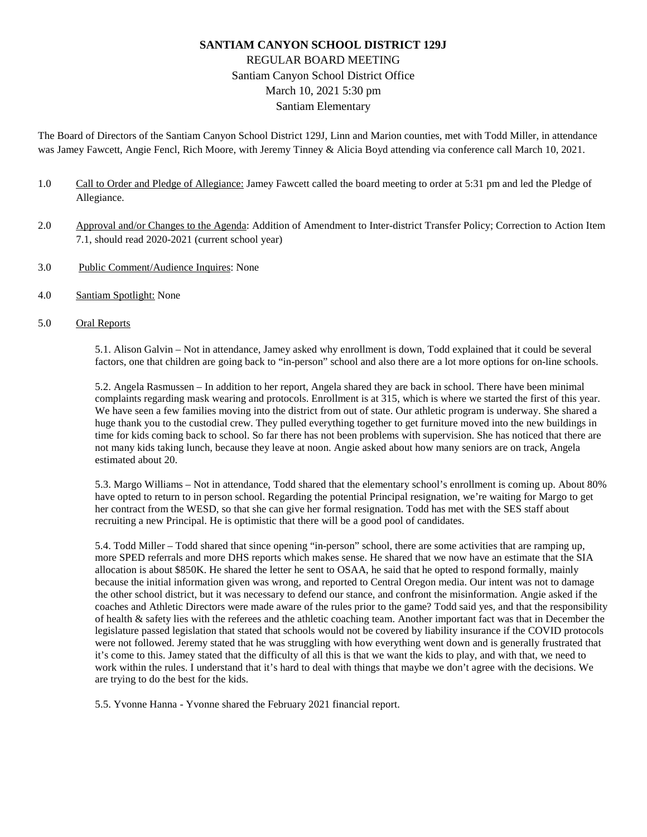# **SANTIAM CANYON SCHOOL DISTRICT 129J** REGULAR BOARD MEETING Santiam Canyon School District Office March 10, 2021 5:30 pm Santiam Elementary

The Board of Directors of the Santiam Canyon School District 129J, Linn and Marion counties, met with Todd Miller, in attendance was Jamey Fawcett, Angie Fencl, Rich Moore, with Jeremy Tinney & Alicia Boyd attending via conference call March 10, 2021.

- 1.0 Call to Order and Pledge of Allegiance: Jamey Fawcett called the board meeting to order at 5:31 pm and led the Pledge of Allegiance.
- 2.0 Approval and/or Changes to the Agenda: Addition of Amendment to Inter-district Transfer Policy; Correction to Action Item 7.1, should read 2020-2021 (current school year)
- 3.0 Public Comment/Audience Inquires: None
- 4.0 Santiam Spotlight: None
- 5.0 Oral Reports

5.1. Alison Galvin – Not in attendance, Jamey asked why enrollment is down, Todd explained that it could be several factors, one that children are going back to "in-person" school and also there are a lot more options for on-line schools.

5.2. Angela Rasmussen – In addition to her report, Angela shared they are back in school. There have been minimal complaints regarding mask wearing and protocols. Enrollment is at 315, which is where we started the first of this year. We have seen a few families moving into the district from out of state. Our athletic program is underway. She shared a huge thank you to the custodial crew. They pulled everything together to get furniture moved into the new buildings in time for kids coming back to school. So far there has not been problems with supervision. She has noticed that there are not many kids taking lunch, because they leave at noon. Angie asked about how many seniors are on track, Angela estimated about 20.

5.3. Margo Williams – Not in attendance, Todd shared that the elementary school's enrollment is coming up. About 80% have opted to return to in person school. Regarding the potential Principal resignation, we're waiting for Margo to get her contract from the WESD, so that she can give her formal resignation. Todd has met with the SES staff about recruiting a new Principal. He is optimistic that there will be a good pool of candidates.

5.4. Todd Miller – Todd shared that since opening "in-person" school, there are some activities that are ramping up, more SPED referrals and more DHS reports which makes sense. He shared that we now have an estimate that the SIA allocation is about \$850K. He shared the letter he sent to OSAA, he said that he opted to respond formally, mainly because the initial information given was wrong, and reported to Central Oregon media. Our intent was not to damage the other school district, but it was necessary to defend our stance, and confront the misinformation. Angie asked if the coaches and Athletic Directors were made aware of the rules prior to the game? Todd said yes, and that the responsibility of health & safety lies with the referees and the athletic coaching team. Another important fact was that in December the legislature passed legislation that stated that schools would not be covered by liability insurance if the COVID protocols were not followed. Jeremy stated that he was struggling with how everything went down and is generally frustrated that it's come to this. Jamey stated that the difficulty of all this is that we want the kids to play, and with that, we need to work within the rules. I understand that it's hard to deal with things that maybe we don't agree with the decisions. We are trying to do the best for the kids.

5.5. Yvonne Hanna - Yvonne shared the February 2021 financial report.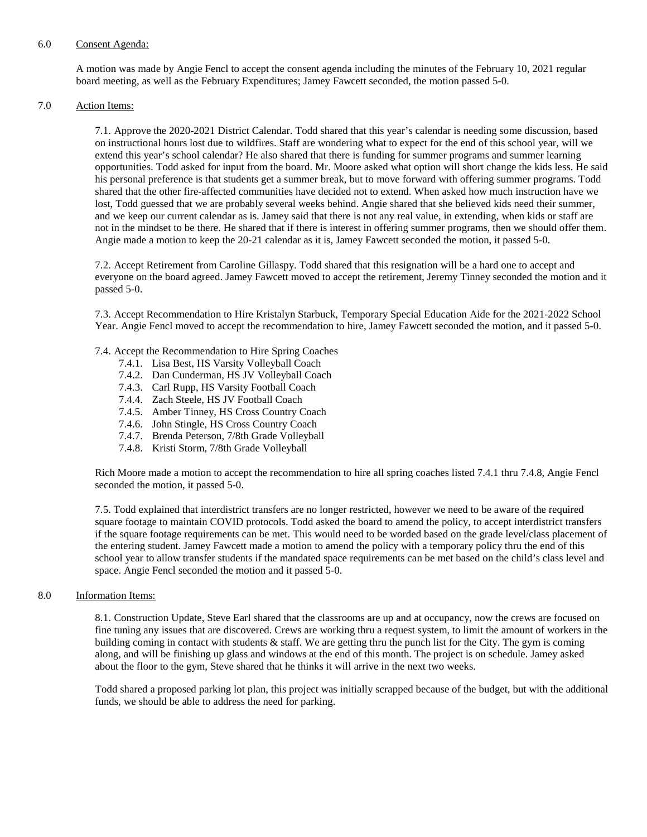#### 6.0 Consent Agenda:

A motion was made by Angie Fencl to accept the consent agenda including the minutes of the February 10, 2021 regular board meeting, as well as the February Expenditures; Jamey Fawcett seconded, the motion passed 5-0.

### 7.0 Action Items:

7.1. Approve the 2020-2021 District Calendar. Todd shared that this year's calendar is needing some discussion, based on instructional hours lost due to wildfires. Staff are wondering what to expect for the end of this school year, will we extend this year's school calendar? He also shared that there is funding for summer programs and summer learning opportunities. Todd asked for input from the board. Mr. Moore asked what option will short change the kids less. He said his personal preference is that students get a summer break, but to move forward with offering summer programs. Todd shared that the other fire-affected communities have decided not to extend. When asked how much instruction have we lost, Todd guessed that we are probably several weeks behind. Angie shared that she believed kids need their summer, and we keep our current calendar as is. Jamey said that there is not any real value, in extending, when kids or staff are not in the mindset to be there. He shared that if there is interest in offering summer programs, then we should offer them. Angie made a motion to keep the 20-21 calendar as it is, Jamey Fawcett seconded the motion, it passed 5-0.

7.2. Accept Retirement from Caroline Gillaspy. Todd shared that this resignation will be a hard one to accept and everyone on the board agreed. Jamey Fawcett moved to accept the retirement, Jeremy Tinney seconded the motion and it passed 5-0.

7.3. Accept Recommendation to Hire Kristalyn Starbuck, Temporary Special Education Aide for the 2021-2022 School Year. Angie Fencl moved to accept the recommendation to hire, Jamey Fawcett seconded the motion, and it passed 5-0.

#### 7.4. Accept the Recommendation to Hire Spring Coaches

- 7.4.1. Lisa Best, HS Varsity Volleyball Coach
- 7.4.2. Dan Cunderman, HS JV Volleyball Coach
- 7.4.3. Carl Rupp, HS Varsity Football Coach
- 7.4.4. Zach Steele, HS JV Football Coach
- 7.4.5. Amber Tinney, HS Cross Country Coach
- 7.4.6. John Stingle, HS Cross Country Coach
- 7.4.7. Brenda Peterson, 7/8th Grade Volleyball
- 7.4.8. Kristi Storm, 7/8th Grade Volleyball

Rich Moore made a motion to accept the recommendation to hire all spring coaches listed 7.4.1 thru 7.4.8, Angie Fencl seconded the motion, it passed 5-0.

7.5. Todd explained that interdistrict transfers are no longer restricted, however we need to be aware of the required square footage to maintain COVID protocols. Todd asked the board to amend the policy, to accept interdistrict transfers if the square footage requirements can be met. This would need to be worded based on the grade level/class placement of the entering student. Jamey Fawcett made a motion to amend the policy with a temporary policy thru the end of this school year to allow transfer students if the mandated space requirements can be met based on the child's class level and space. Angie Fencl seconded the motion and it passed 5-0.

8.0 Information Items:

8.1. Construction Update, Steve Earl shared that the classrooms are up and at occupancy, now the crews are focused on fine tuning any issues that are discovered. Crews are working thru a request system, to limit the amount of workers in the building coming in contact with students & staff. We are getting thru the punch list for the City. The gym is coming along, and will be finishing up glass and windows at the end of this month. The project is on schedule. Jamey asked about the floor to the gym, Steve shared that he thinks it will arrive in the next two weeks.

Todd shared a proposed parking lot plan, this project was initially scrapped because of the budget, but with the additional funds, we should be able to address the need for parking.